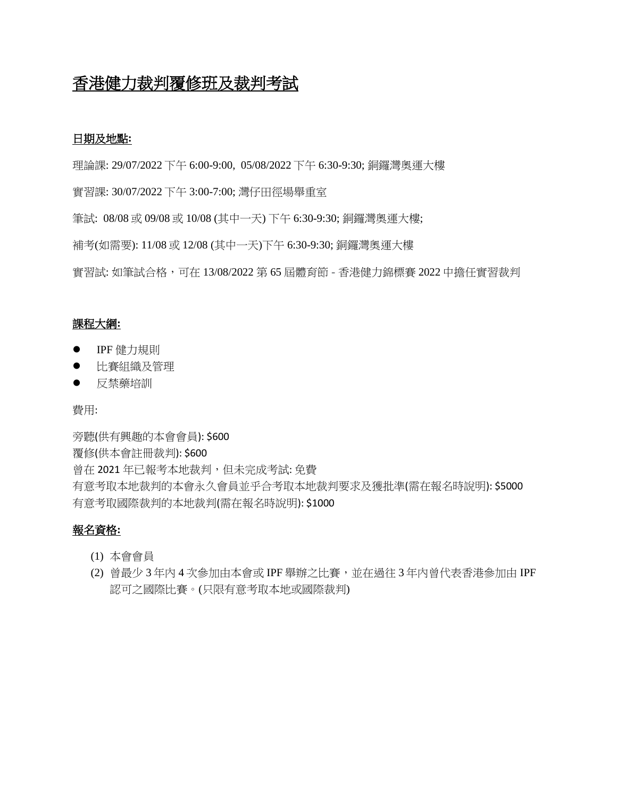# 香港健力裁判覆修班及裁判考試

### 日期及地點**:**

理論課: 29/07/2022 下午 6:00-9:00, 05/08/2022 下午 6:30-9:30; 銅鑼灣奧運大樓

實習課: 30/07/2022 下午 3:00-7:00; 灣仔田徑場舉重室

筆試: 08/08 或 09/08 或 10/08 (其中一天) 下午 6:30-9:30; 銅鑼灣奧運大樓;

補考(如需要): 11/08 或 12/08 (其中一天)下午 6:30-9:30; 銅鑼灣奧運大樓

實習試: 如筆試合格,可在 13/08/2022 第 65 屆體育節 **-** 香港健力錦標賽 2022 中擔任實習裁判

### 課程大綱**:**

- IPF 健力規則
- ⚫ 比賽組織及管理
- ⚫ 反禁藥培訓

費用:

旁聽(供有興趣的本會會員): \$600 覆修(供本會註冊裁判): \$600 曾在 2021 年已報考本地裁判,但未完成考試: 免費 有意考取本地裁判的本會永久會員並乎合考取本地裁判要求及獲批準(需在報名時說明): \$5000 有意考取國際裁判的本地裁判(需在報名時說明): \$1000

## 報名資格**:**

- (1) 本會會員
- (2) 曾最少 3 年內 4 次參加由本會或 IPF 舉辦之比賽,並在過往 3 年內曾代表香港參加由 IPF 認可之國際比賽。(只限有意考取本地或國際裁判)